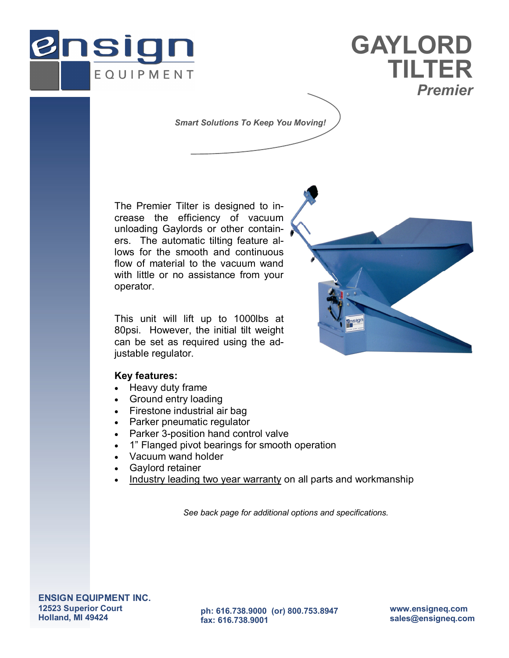



*Smart Solutions To Keep You Moving!* 

The Premier Tilter is designed to increase the efficiency of vacuum unloading Gaylords or other containers. The automatic tilting feature allows for the smooth and continuous flow of material to the vacuum wand with little or no assistance from your operator.

This unit will lift up to 1000lbs at 80psi. However, the initial tilt weight can be set as required using the adjustable regulator.

## **Key features:**

- Heavy duty frame
- Ground entry loading
- Firestone industrial air bag
- Parker pneumatic regulator
- Parker 3-position hand control valve
- 1" Flanged pivot bearings for smooth operation
- Vacuum wand holder
- Gaylord retainer
- Industry leading two year warranty on all parts and workmanship

*See back page for additional options and specifications.* 



**ENSIGN EQUIPMENT INC. 12523 Superior Court Holland, MI 49424** 

**ph: 616.738.9000 (or) 800.753.8947 fax: 616.738.9001** 

**www.ensigneq.com sales@ensigneq.com**